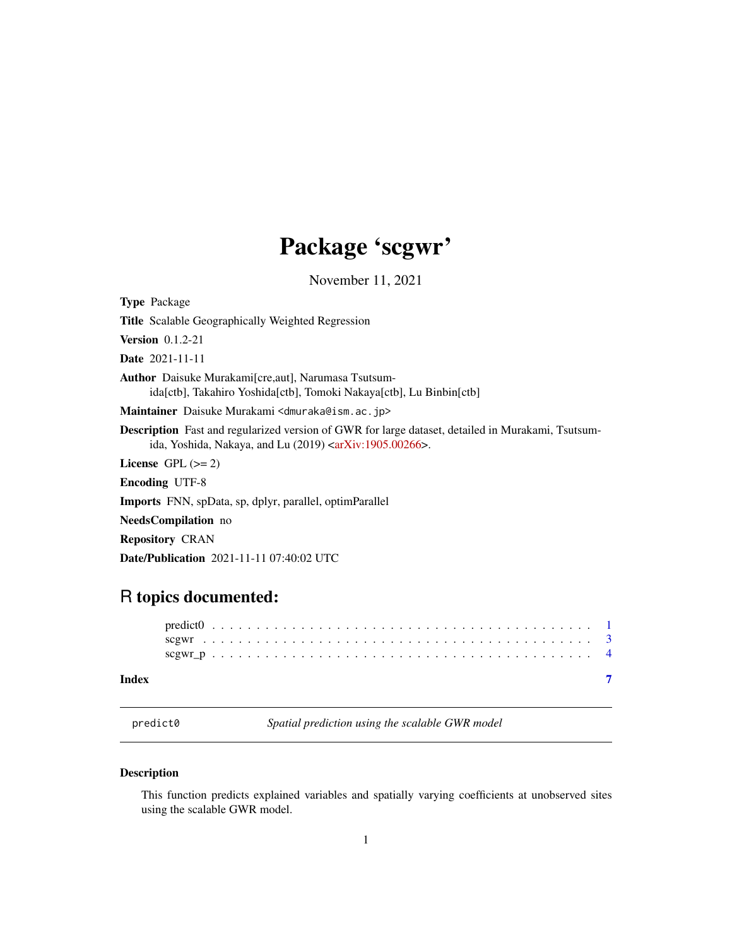## Package 'scgwr'

November 11, 2021

<span id="page-0-0"></span>

| <b>Type Package</b>                                                                                                                                                                      |
|------------------------------------------------------------------------------------------------------------------------------------------------------------------------------------------|
| <b>Title</b> Scalable Geographically Weighted Regression                                                                                                                                 |
| <b>Version</b> $0.1.2-21$                                                                                                                                                                |
| <b>Date</b> 2021-11-11                                                                                                                                                                   |
| <b>Author</b> Daisuke Murakami[cre, aut], Narumasa Tsutsum-<br>ida[ctb], Takahiro Yoshida[ctb], Tomoki Nakaya[ctb], Lu Binbin[ctb]                                                       |
| Maintainer Daisuke Murakami <dmuraka@ism.ac.jp></dmuraka@ism.ac.jp>                                                                                                                      |
| <b>Description</b> Fast and regularized version of GWR for large dataset, detailed in Murakami, Tsutsum-<br>ida, Yoshida, Nakaya, and Lu $(2019)$ <arxiv:1905.00266>.</arxiv:1905.00266> |
| License $GPL \, (= 2)$                                                                                                                                                                   |
| <b>Encoding UTF-8</b>                                                                                                                                                                    |
| <b>Imports</b> FNN, spData, sp, dplyr, parallel, optimParallel                                                                                                                           |
| <b>NeedsCompilation</b> no                                                                                                                                                               |
| <b>Repository CRAN</b>                                                                                                                                                                   |
| <b>Date/Publication</b> 2021-11-11 07:40:02 UTC                                                                                                                                          |

### R topics documented:

#### **Index** [7](#page-6-0) **7**

<span id="page-0-1"></span>predict0 *Spatial prediction using the scalable GWR model*

#### Description

This function predicts explained variables and spatially varying coefficients at unobserved sites using the scalable GWR model.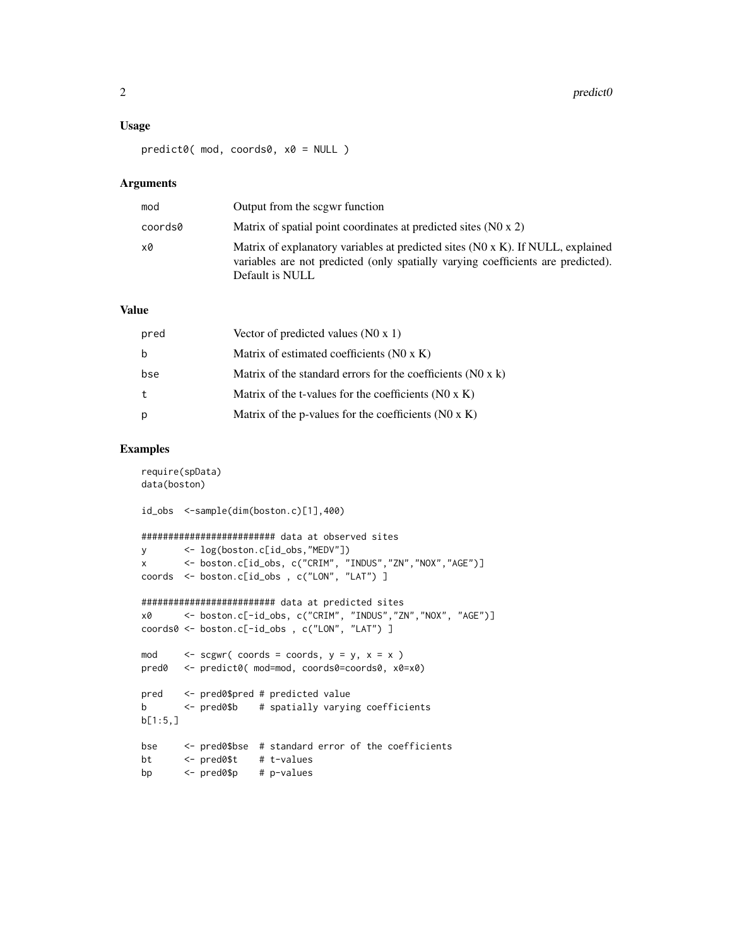#### Usage

predict0( mod, coords0, x0 = NULL )

#### Arguments

| mod     | Output from the scgwr function                                                                                                                                                         |
|---------|----------------------------------------------------------------------------------------------------------------------------------------------------------------------------------------|
| coords0 | Matrix of spatial point coordinates at predicted sites (NO x 2)                                                                                                                        |
| x0      | Matrix of explanatory variables at predicted sites (N0 x K). If NULL, explained<br>variables are not predicted (only spatially varying coefficients are predicted).<br>Default is NULL |

#### Value

| pred | Vector of predicted values $(N0 x 1)$                         |
|------|---------------------------------------------------------------|
| b    | Matrix of estimated coefficients (N0 x K)                     |
| bse  | Matrix of the standard errors for the coefficients $(N0 x k)$ |
| t    | Matrix of the t-values for the coefficients $(NO \times K)$   |
| p    | Matrix of the p-values for the coefficients $(NO \times K)$   |

#### Examples

```
require(spData)
data(boston)
id_obs <-sample(dim(boston.c)[1],400)
######################### data at observed sites
y <- log(boston.c[id_obs,"MEDV"])
x <- boston.c[id_obs, c("CRIM", "INDUS","ZN","NOX","AGE")]
coords <- boston.c[id_obs , c("LON", "LAT") ]
######################### data at predicted sites
x0 <- boston.c[-id_obs, c("CRIM", "INDUS","ZN","NOX", "AGE")]
coords0 <- boston.c[-id_obs , c("LON", "LAT") ]
mod \le - scgwr( coords = coords, y = y, x = x)
pred0 <- predict0( mod=mod, coords0=coords0, x0=x0)
pred <- pred0$pred # predicted value
b <- pred0$b # spatially varying coefficients
b[1:5,]
bse <- pred0$bse # standard error of the coefficients
bt <- pred0$t # t-values
bp <- pred0$p # p-values
```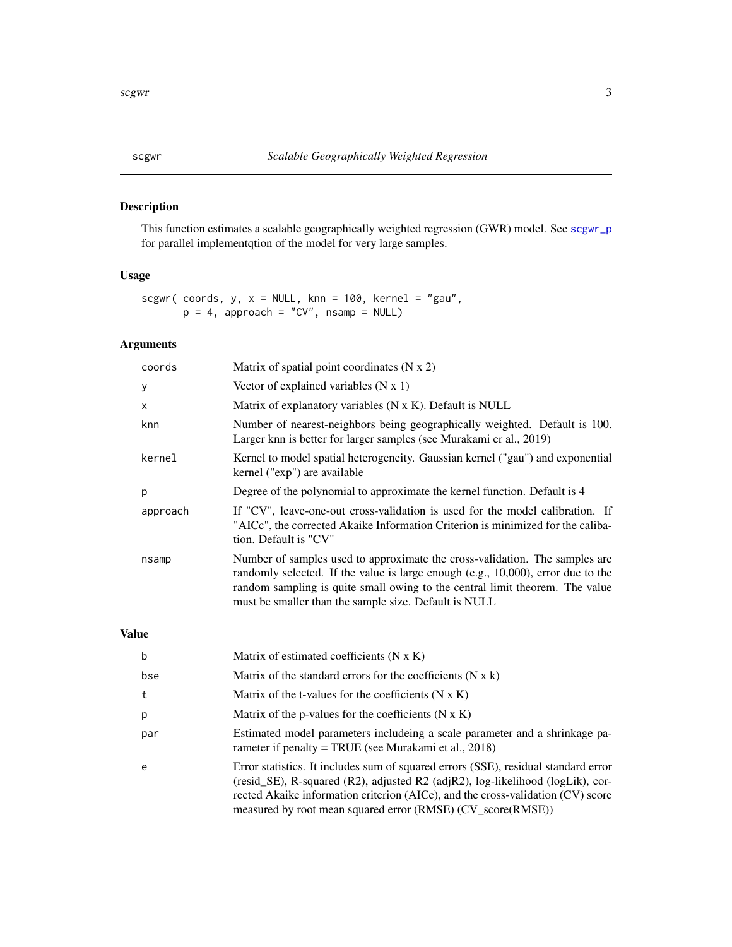#### Description

This function estimates a scalable geographically weighted regression (GWR) model. See [scgwr\\_p](#page-3-1) for parallel implementqtion of the model for very large samples.

#### Usage

```
scgwr( coords, y, x = NULL, knn = 100, kernel = "gau",
      p = 4, approach = "CV", nsamp = NULL)
```
#### Arguments

| coords   | Matrix of spatial point coordinates $(N x 2)$                                                                                                                                                                                                                                                            |
|----------|----------------------------------------------------------------------------------------------------------------------------------------------------------------------------------------------------------------------------------------------------------------------------------------------------------|
| У        | Vector of explained variables $(N x 1)$                                                                                                                                                                                                                                                                  |
| x        | Matrix of explanatory variables (N x K). Default is NULL                                                                                                                                                                                                                                                 |
| knn      | Number of nearest-neighbors being geographically weighted. Default is 100.<br>Larger knn is better for larger samples (see Murakami er al., 2019)                                                                                                                                                        |
| kernel   | Kernel to model spatial heterogeneity. Gaussian kernel ("gau") and exponential<br>kernel ("exp") are available                                                                                                                                                                                           |
| p        | Degree of the polynomial to approximate the kernel function. Default is 4                                                                                                                                                                                                                                |
| approach | If "CV", leave-one-out cross-validation is used for the model calibration. If<br>"AICc", the corrected Akaike Information Criterion is minimized for the caliba-<br>tion. Default is "CV"                                                                                                                |
| nsamp    | Number of samples used to approximate the cross-validation. The samples are<br>randomly selected. If the value is large enough (e.g., 10,000), error due to the<br>random sampling is quite small owing to the central limit theorem. The value<br>must be smaller than the sample size. Default is NULL |

#### Value

| b   | Matrix of estimated coefficients $(N \times K)$                                                                                                                                                                                                                                                                                 |
|-----|---------------------------------------------------------------------------------------------------------------------------------------------------------------------------------------------------------------------------------------------------------------------------------------------------------------------------------|
| bse | Matrix of the standard errors for the coefficients $(N \times k)$                                                                                                                                                                                                                                                               |
| t   | Matrix of the t-values for the coefficients $(N \times K)$                                                                                                                                                                                                                                                                      |
| p   | Matrix of the p-values for the coefficients $(N \times K)$                                                                                                                                                                                                                                                                      |
| par | Estimated model parameters includeing a scale parameter and a shrinkage pa-<br>rameter if penalty = TRUE (see Murakami et al., 2018)                                                                                                                                                                                            |
| e   | Error statistics. It includes sum of squared errors (SSE), residual standard error<br>(resid_SE), R-squared $(R2)$ , adjusted $R2$ (adj $R2$ ), log-likelihood (logLik), cor-<br>rected Akaike information criterion (AICc), and the cross-validation (CV) score<br>measured by root mean squared error (RMSE) (CV_score(RMSE)) |

<span id="page-2-1"></span><span id="page-2-0"></span>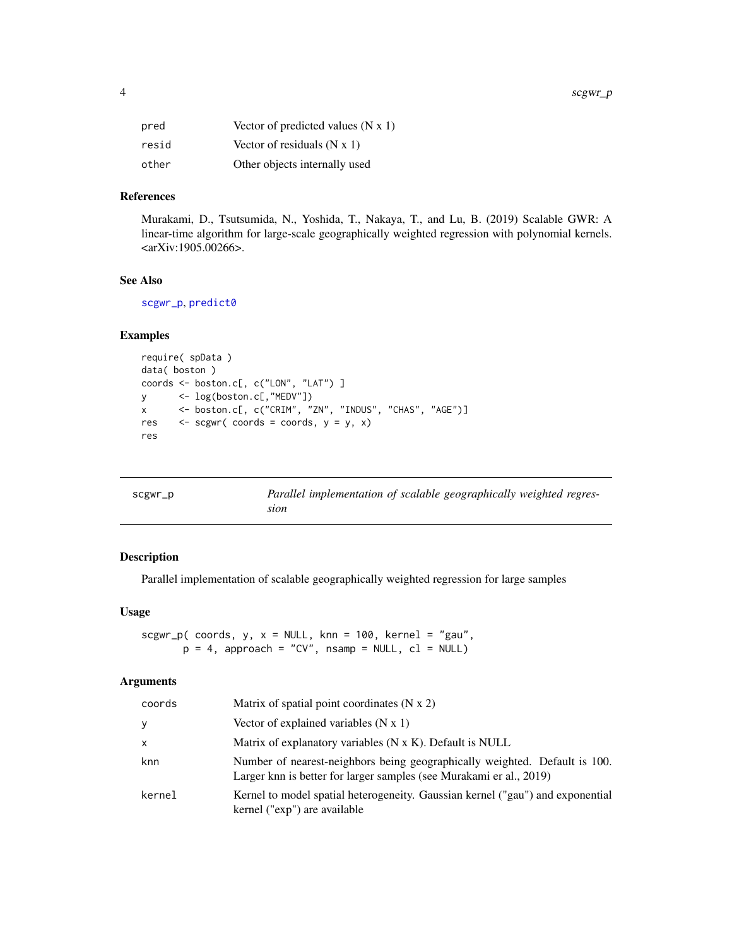<span id="page-3-0"></span>

| pred  | Vector of predicted values $(N x 1)$ |
|-------|--------------------------------------|
| resid | Vector of residuals $(N x 1)$        |
| other | Other objects internally used        |

#### References

Murakami, D., Tsutsumida, N., Yoshida, T., Nakaya, T., and Lu, B. (2019) Scalable GWR: A linear-time algorithm for large-scale geographically weighted regression with polynomial kernels. <arXiv:1905.00266>.

#### See Also

[scgwr\\_p](#page-3-1), [predict0](#page-0-1)

#### Examples

```
require( spData )
data( boston )
coords <- boston.c[, c("LON", "LAT") ]
y <- log(boston.c[,"MEDV"])
x <- boston.c[, c("CRIM", "ZN", "INDUS", "CHAS", "AGE")]
res \leq scgwr( coords = coords, y = y, x)
res
```
<span id="page-3-1"></span>

| scgwr_p | Parallel implementation of scalable geographically weighted regres- |  |
|---------|---------------------------------------------------------------------|--|
|         | sıon                                                                |  |

#### Description

Parallel implementation of scalable geographically weighted regression for large samples

#### Usage

scgwr\_p( coords,  $y$ ,  $x = NULL$ , knn = 100, kernel = "gau",  $p = 4$ , approach = "CV", nsamp = NULL, cl = NULL)

#### Arguments

| coords       | Matrix of spatial point coordinates $(N x 2)$                                                                                                     |
|--------------|---------------------------------------------------------------------------------------------------------------------------------------------------|
| y            | Vector of explained variables $(N x 1)$                                                                                                           |
| $\mathsf{x}$ | Matrix of explanatory variables (N x K). Default is NULL                                                                                          |
| knn          | Number of nearest-neighbors being geographically weighted. Default is 100.<br>Larger knn is better for larger samples (see Murakami er al., 2019) |
| kernel       | Kernel to model spatial heterogeneity. Gaussian kernel ("gau") and exponential<br>kernel ("exp") are available                                    |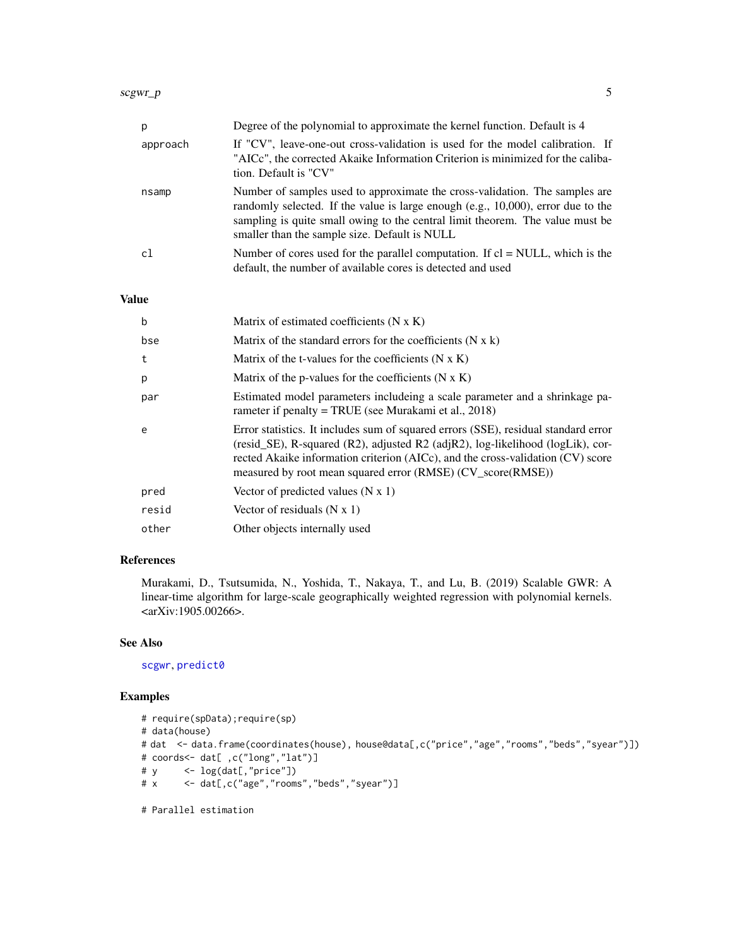<span id="page-4-0"></span>

| р        | Degree of the polynomial to approximate the kernel function. Default is 4                                                                                                                                                                                                                            |
|----------|------------------------------------------------------------------------------------------------------------------------------------------------------------------------------------------------------------------------------------------------------------------------------------------------------|
| approach | If "CV", leave-one-out cross-validation is used for the model calibration. If<br>"AICc", the corrected Akaike Information Criterion is minimized for the caliba-<br>tion. Default is "CV"                                                                                                            |
| nsamp    | Number of samples used to approximate the cross-validation. The samples are<br>randomly selected. If the value is large enough $(e.g., 10,000)$ , error due to the<br>sampling is quite small owing to the central limit theorem. The value must be<br>smaller than the sample size. Default is NULL |
| c.       | Number of cores used for the parallel computation. If $cl = NULL$ , which is the<br>default, the number of available cores is detected and used                                                                                                                                                      |

#### Value

| $\mathbf b$ | Matrix of estimated coefficients $(N \times K)$                                                                                                                                                                                                                                                                           |
|-------------|---------------------------------------------------------------------------------------------------------------------------------------------------------------------------------------------------------------------------------------------------------------------------------------------------------------------------|
| bse         | Matrix of the standard errors for the coefficients $(N x k)$                                                                                                                                                                                                                                                              |
| t           | Matrix of the t-values for the coefficients $(N \times K)$                                                                                                                                                                                                                                                                |
| p           | Matrix of the p-values for the coefficients $(N \times K)$                                                                                                                                                                                                                                                                |
| par         | Estimated model parameters includeing a scale parameter and a shrinkage pa-<br>rameter if penalty = TRUE (see Murakami et al., $2018$ )                                                                                                                                                                                   |
| e           | Error statistics. It includes sum of squared errors (SSE), residual standard error<br>(resid_SE), R-squared (R2), adjusted R2 (adjR2), $log$ -likelihood (logLik), cor-<br>rected Akaike information criterion (AICc), and the cross-validation (CV) score<br>measured by root mean squared error (RMSE) (CV_score(RMSE)) |
| pred        | Vector of predicted values $(N x 1)$                                                                                                                                                                                                                                                                                      |
| resid       | Vector of residuals $(N x 1)$                                                                                                                                                                                                                                                                                             |
| other       | Other objects internally used                                                                                                                                                                                                                                                                                             |

#### References

Murakami, D., Tsutsumida, N., Yoshida, T., Nakaya, T., and Lu, B. (2019) Scalable GWR: A linear-time algorithm for large-scale geographically weighted regression with polynomial kernels. <arXiv:1905.00266>.

#### See Also

[scgwr](#page-2-1), [predict0](#page-0-1)

#### Examples

```
# require(spData);require(sp)
# data(house)
# dat <- data.frame(coordinates(house), house@data[,c("price","age","rooms","beds","syear")])
# coords<- dat[ ,c("long","lat")]
# y <- log(dat[,"price"])
# x <- dat[,c("age","rooms","beds","syear")]
# Parallel estimation
```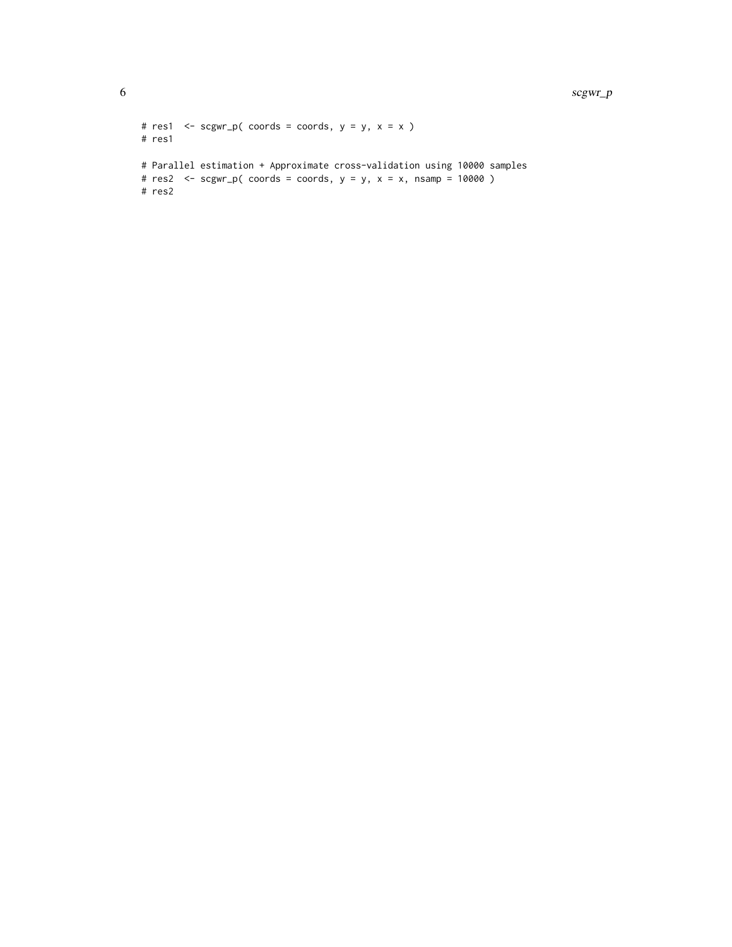```
# res1 <- scgwr_p( coords = coords, y = y, x = x )
# res1
# Parallel estimation + Approximate cross-validation using 10000 samples
# res2 \leq -scgwr_p(\text{coords} = \text{coords}, y = y, x = x, nsamp = 10000)# res2
```